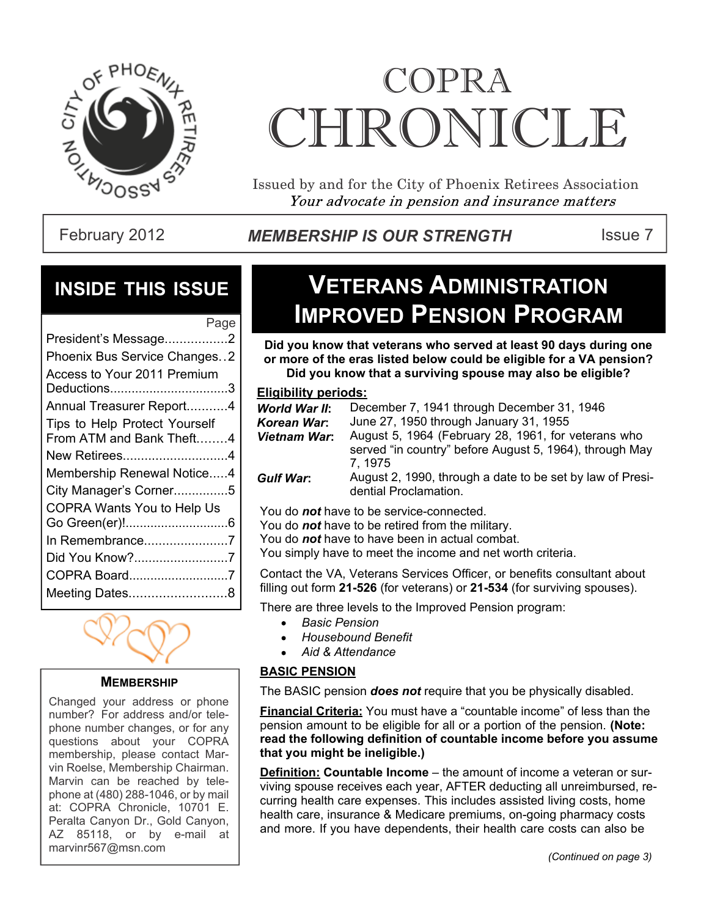

# COPRA CHRONICI.E

Issued by and for the City of Phoenix Retirees Association Your advocate in pension and insurance matters

#### February 2012 **MEMBERSHIP IS OUR STRENGTH** ISSue 7

#### **INSIDE THIS ISSUE**

| Page                                                      |
|-----------------------------------------------------------|
| President's Message2                                      |
| Phoenix Bus Service Changes2                              |
| Access to Your 2011 Premium<br>Deductions3                |
| Annual Treasurer Report4                                  |
| Tips to Help Protect Yourself<br>From ATM and Bank Theft4 |
| New Retirees4                                             |
| Membership Renewal Notice4                                |
| City Manager's Corner5                                    |
| COPRA Wants You to Help Us                                |
|                                                           |
| In Remembrance7                                           |
| Did You Know?7                                            |
| COPRA Board7                                              |
| Meeting Dates8                                            |
|                                                           |



#### **MEMBERSHIP**

Changed your address or phone number? For address and/or telephone number changes, or for any questions about your COPRA membership, please contact Marvin Roelse, Membership Chairman. Marvin can be reached by telephone at (480) 288-1046, or by mail at: COPRA Chronicle, 10701 E. Peralta Canyon Dr., Gold Canyon, AZ 85118, or by e-mail at marvinr567@msn.com

### **VETERANS ADMINISTRATION IMPROVED PENSION PROGRAM**

**Did you know that veterans who served at least 90 days during one or more of the eras listed below could be eligible for a VA pension? Did you know that a surviving spouse may also be eligible?**

#### **Eligibility periods:**

| World War II:    | December 7, 1941 through December 31, 1946                                         |
|------------------|------------------------------------------------------------------------------------|
| Korean War:      | June 27, 1950 through January 31, 1955                                             |
| Vietnam War:     | August 5, 1964 (February 28, 1961, for veterans who                                |
|                  | served "in country" before August 5, 1964), through May                            |
|                  | 7.1975                                                                             |
| <b>Gulf War:</b> | August 2, 1990, through a date to be set by law of Presi-<br>dential Proclamation. |

You do *not* have to be service-connected.

You do *not* have to be retired from the military.

You do *not* have to have been in actual combat.

You simply have to meet the income and net worth criteria.

Contact the VA, Veterans Services Officer, or benefits consultant about filling out form **21-526** (for veterans) or **21-534** (for surviving spouses).

There are three levels to the Improved Pension program:

- *Basic Pension*
- *Housebound Benefit*
- *Aid & Attendance*

#### **BASIC PENSION**

The BASIC pension *does not* require that you be physically disabled.

**Financial Criteria:** You must have a "countable income" of less than the pension amount to be eligible for all or a portion of the pension. **(Note: read the following definition of countable income before you assume that you might be ineligible.)**

**Definition: Countable Income** – the amount of income a veteran or surviving spouse receives each year, AFTER deducting all unreimbursed, recurring health care expenses. This includes assisted living costs, home health care, insurance & Medicare premiums, on-going pharmacy costs and more. If you have dependents, their health care costs can also be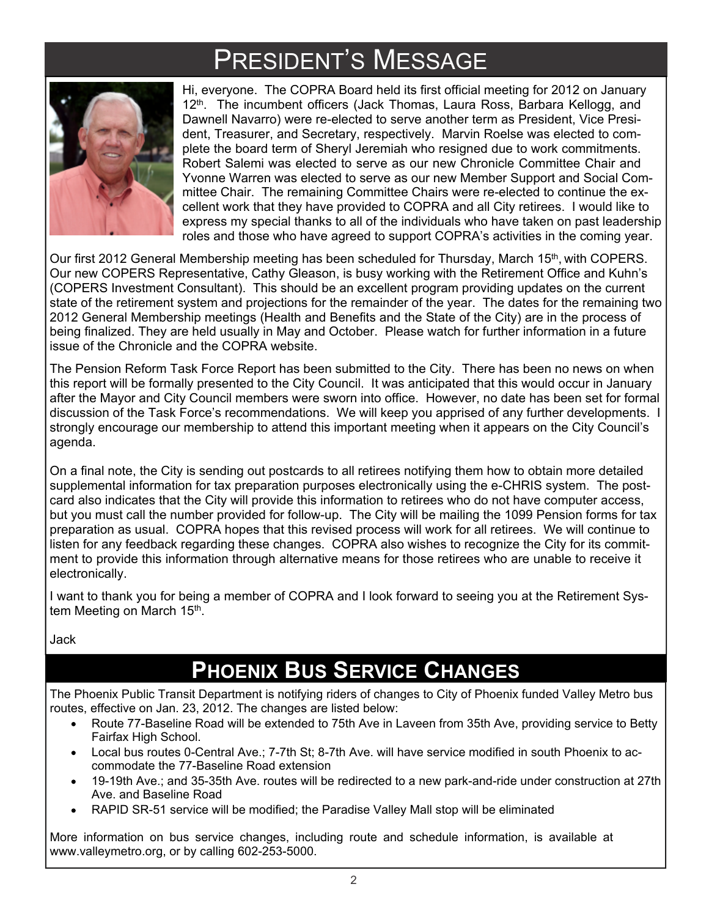## PRESIDENT'S MESSAGE



Hi, everyone. The COPRA Board held its first official meeting for 2012 on January 12<sup>th</sup>. The incumbent officers (Jack Thomas, Laura Ross, Barbara Kellogg, and Dawnell Navarro) were re-elected to serve another term as President, Vice President, Treasurer, and Secretary, respectively. Marvin Roelse was elected to complete the board term of Sheryl Jeremiah who resigned due to work commitments. Robert Salemi was elected to serve as our new Chronicle Committee Chair and Yvonne Warren was elected to serve as our new Member Support and Social Committee Chair. The remaining Committee Chairs were re-elected to continue the excellent work that they have provided to COPRA and all City retirees. I would like to express my special thanks to all of the individuals who have taken on past leadership roles and those who have agreed to support COPRA's activities in the coming year.

Our first 2012 General Membership meeting has been scheduled for Thursday, March 15<sup>th</sup>, with COPERS. Our new COPERS Representative, Cathy Gleason, is busy working with the Retirement Office and Kuhn's (COPERS Investment Consultant). This should be an excellent program providing updates on the current state of the retirement system and projections for the remainder of the year. The dates for the remaining two 2012 General Membership meetings (Health and Benefits and the State of the City) are in the process of being finalized. They are held usually in May and October. Please watch for further information in a future issue of the Chronicle and the COPRA website.

The Pension Reform Task Force Report has been submitted to the City. There has been no news on when this report will be formally presented to the City Council. It was anticipated that this would occur in January after the Mayor and City Council members were sworn into office. However, no date has been set for formal discussion of the Task Force's recommendations. We will keep you apprised of any further developments. I strongly encourage our membership to attend this important meeting when it appears on the City Council's agenda.

On a final note, the City is sending out postcards to all retirees notifying them how to obtain more detailed supplemental information for tax preparation purposes electronically using the e-CHRIS system. The postcard also indicates that the City will provide this information to retirees who do not have computer access, but you must call the number provided for follow-up. The City will be mailing the 1099 Pension forms for tax preparation as usual. COPRA hopes that this revised process will work for all retirees. We will continue to listen for any feedback regarding these changes. COPRA also wishes to recognize the City for its commitment to provide this information through alternative means for those retirees who are unable to receive it electronically.

I want to thank you for being a member of COPRA and I look forward to seeing you at the Retirement System Meeting on March 15<sup>th</sup>.

Jack

### **PHOENIX BUS SERVICE CHANGES**

The Phoenix Public Transit Department is notifying riders of changes to City of Phoenix funded Valley Metro bus routes, effective on Jan. 23, 2012. The changes are listed below:

- Route 77-Baseline Road will be extended to 75th Ave in Laveen from 35th Ave, providing service to Betty  $\bullet$ Fairfax High School.
- $\bullet$ Local bus routes 0-Central Ave.; 7-7th St; 8-7th Ave. will have service modified in south Phoenix to accommodate the 77-Baseline Road extension
- 19-19th Ave.; and 35-35th Ave. routes will be redirected to a new park-and-ride under construction at 27th  $\bullet$ Ave. and Baseline Road
- RAPID SR-51 service will be modified; the Paradise Valley Mall stop will be eliminated

More information on bus service changes, including route and schedule information, is available at www.valleymetro.org, or by calling 602-253-5000.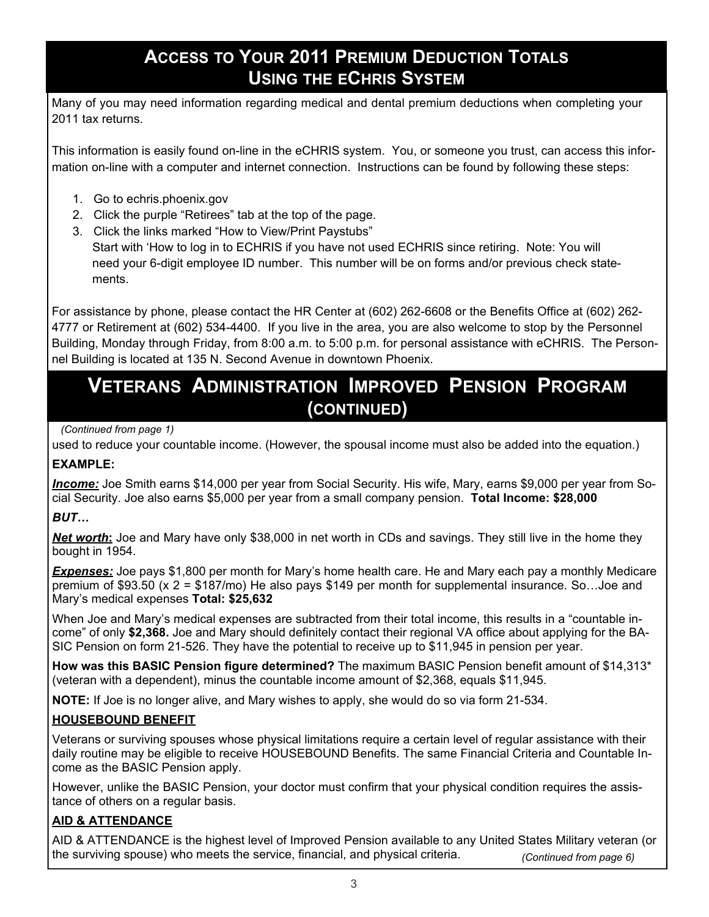#### **ACCESS TO YOUR 2011 PREMIUM DEDUCTION TOTALS USING THE ECHRIS SYSTEM**

Many of you may need information regarding medical and dental premium deductions when completing your 2011 tax returns.

This information is easily found on-line in the eCHRIS system. You, or someone you trust, can access this information on-line with a computer and internet connection. Instructions can be found by following these steps:

- 1. Go to echris.phoenix.gov
- 2. Click the purple "Retirees" tab at the top of the page.
- 3. Click the links marked "How to View/Print Paystubs" Start with 'How to log in to ECHRIS if you have not used ECHRIS since retiring. Note: You will need your 6-digit employee ID number. This number will be on forms and/or previous check state ments.

For assistance by phone, please contact the HR Center at (602) 262-6608 or the Benefits Office at (602) 262- 4777 or Retirement at (602) 534-4400. If you live in the area, you are also welcome to stop by the Personnel Building, Monday through Friday, from 8:00 a.m. to 5:00 p.m. for personal assistance with eCHRIS. The Personnel Building is located at 135 N. Second Avenue in downtown Phoenix.

### **VETERANS ADMINISTRATION IMPROVED PENSION PROGRAM (CONTINUED)**

#### *(Continued from page 1)*

used to reduce your countable income. (However, the spousal income must also be added into the equation.)

#### **EXAMPLE:**

*Income:* Joe Smith earns \$14,000 per year from Social Security. His wife, Mary, earns \$9,000 per year from Social Security. Joe also earns \$5,000 per year from a small company pension. **Total Income: \$28,000**

#### *BUT…*

*Net worth***:** Joe and Mary have only \$38,000 in net worth in CDs and savings. They still live in the home they bought in 1954.

*Expenses:* Joe pays \$1,800 per month for Mary's home health care. He and Mary each pay a monthly Medicare premium of \$93.50 (x 2 = \$187/mo) He also pays \$149 per month for supplemental insurance. So…Joe and Mary's medical expenses **Total: \$25,632**

When Joe and Mary's medical expenses are subtracted from their total income, this results in a "countable income" of only **\$2,368.** Joe and Mary should definitely contact their regional VA office about applying for the BA-SIC Pension on form 21-526. They have the potential to receive up to \$11,945 in pension per year.

**How was this BASIC Pension figure determined?** The maximum BASIC Pension benefit amount of \$14,313\* (veteran with a dependent), minus the countable income amount of \$2,368, equals \$11,945.

**NOTE:** If Joe is no longer alive, and Mary wishes to apply, she would do so via form 21-534.

#### **HOUSEBOUND BENEFIT**

Veterans or surviving spouses whose physical limitations require a certain level of regular assistance with their daily routine may be eligible to receive HOUSEBOUND Benefits. The same Financial Criteria and Countable Income as the BASIC Pension apply.

However, unlike the BASIC Pension, your doctor must confirm that your physical condition requires the assistance of others on a regular basis.

#### **AID & ATTENDANCE**

AID & ATTENDANCE is the highest level of Improved Pension available to any United States Military veteran (or the surviving spouse) who meets the service, financial, and physical criteria.  *(Continued from page 6)*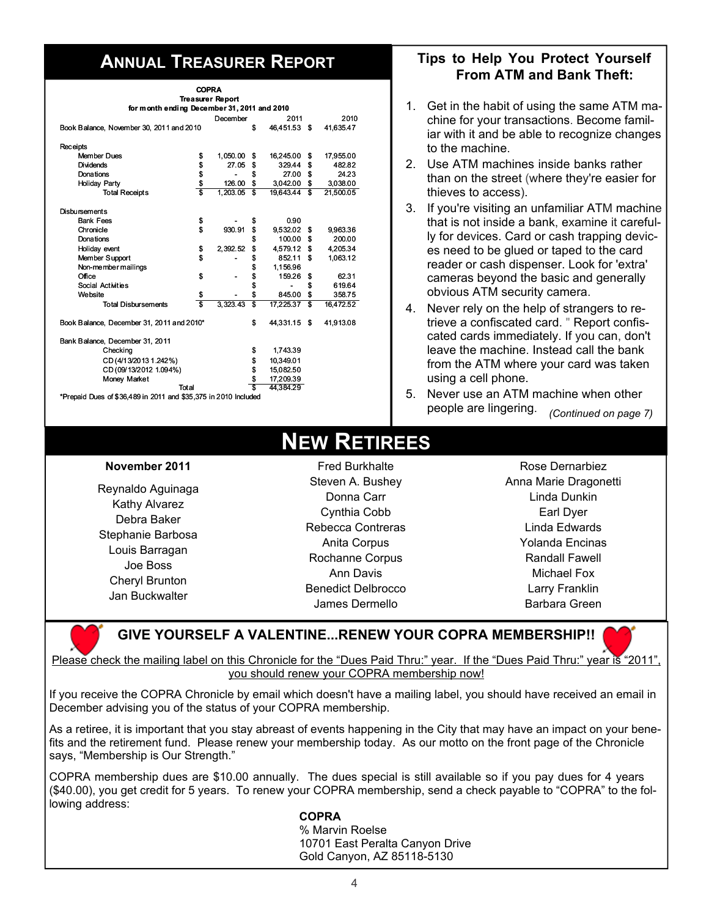| <b>COPRA</b>                                                    |          |                         |           |              |    |           |
|-----------------------------------------------------------------|----------|-------------------------|-----------|--------------|----|-----------|
|                                                                 |          | <b>Treasurer Report</b> |           |              |    |           |
| for month ending December 31, 2011 and 2010                     |          |                         |           |              |    |           |
|                                                                 |          | December                |           | 2011         |    | 2010      |
| Book Balance, November 30, 2011 and 2010                        |          |                         | \$        | 46.451.53 \$ |    | 41.635.47 |
| <b>Receipts</b>                                                 |          |                         |           |              |    |           |
| <b>Member Dues</b>                                              | \$       | 1,050.00 \$             |           | 16,245.00    | \$ | 17,955.00 |
| <b>Dividends</b>                                                | \$       | 27.05                   | \$        | 329.44       | \$ | 482.82    |
| Donations                                                       |          |                         | \$        | 27.00        | \$ | 24.23     |
| Holiday Party                                                   |          | 126.00                  | \$        | 3,042.00     | \$ | 3,038.00  |
| <b>Total Receipts</b>                                           | \$<br>Ŝ  | 1,203.05                | S         | 19,643.44    | s  | 21,500.05 |
|                                                                 |          |                         |           |              |    |           |
| <b>Disbursements</b>                                            |          |                         |           |              |    |           |
| <b>Bank Fees</b>                                                | \$       |                         | \$        | 0.90         |    |           |
| Chronicle                                                       | \$       | 930.91                  | \$        | 9.532.02     | \$ | 9,963.36  |
| Donations                                                       |          |                         | \$        | 100.00       | \$ | 200.00    |
| Holiday event                                                   | \$<br>\$ | 2,392.52                | \$        | 4,579.12     | \$ | 4,205.34  |
| Member Support                                                  |          |                         | \$        | 852.11       | \$ | 1.063.12  |
| Non-member mailings                                             |          |                         | \$        | 1,156.96     |    |           |
| Office                                                          |          |                         | \$        | 159.26       | \$ | 62.31     |
| Social Activities                                               |          |                         | \$        | -            | \$ | 619.64    |
| Website                                                         | \$       |                         | \$        | 845.00       | \$ | 358.75    |
| <b>Total Disbursements</b>                                      | s        | 3.323.43                | \$        | 17.225.37    | \$ | 16,472.52 |
| Book Balance, December 31, 2011 and 2010*                       |          |                         | \$        | 44,331.15    | \$ | 41,913.08 |
| Bank Balance, December 31, 2011                                 |          |                         |           |              |    |           |
| Checking                                                        |          |                         | \$        | 1,743.39     |    |           |
| CD(4/13/20131.242%)                                             |          |                         | \$        | 10.349.01    |    |           |
| CD (09/13/2012 1.094%)                                          |          |                         | 15,082.50 |              |    |           |
| Money Market                                                    |          |                         | \$<br>\$  | 17,209.39    |    |           |
| Total                                                           |          |                         | Ŝ         | 44,384.29    |    |           |
| *Prepaid Dues of \$36,489 in 2011 and \$35,375 in 2010 Included |          |                         |           |              |    |           |

#### **ANNUAL TREASURER REPORT Tips to Help You Protect Yourself From ATM and Bank Theft:**

- 1. Get in the habit of using the same ATM machine for your transactions. Become familiar with it and be able to recognize changes to the machine.
- 2. Use ATM machines inside banks rather than on the street (where they're easier for thieves to access).
- 3. If you're visiting an unfamiliar ATM machine that is not inside a bank, examine it carefully for devices. Card or cash trapping devices need to be glued or taped to the card reader or cash dispenser. Look for 'extra' cameras beyond the basic and generally obvious ATM security camera.
- 4. Never rely on the help of strangers to retrieve a confiscated card. " Report confiscated cards immediately. If you can, don't leave the machine. Instead call the bank from the ATM where your card was taken using a cell phone.
- 5. Never use an ATM machine when other people are lingering. *(Continued on page 7)*

### **NEW RETIREES**

#### **November 2011**

Reynaldo Aguinaga Kathy Alvarez Debra Baker Stephanie Barbosa Louis Barragan Joe Boss Cheryl Brunton Jan Buckwalter

Fred Burkhalte Steven A. Bushey Donna Carr Cynthia Cobb Rebecca Contreras Anita Corpus Rochanne Corpus Ann Davis Benedict Delbrocco James Dermello

Rose Dernarbiez Anna Marie Dragonetti Linda Dunkin Earl Dyer Linda Edwards Yolanda Encinas Randall Fawell Michael Fox Larry Franklin Barbara Green

#### **GIVE YOURSELF A VALENTINE...RENEW YOUR COPRA MEMBERSHIP!!**

Please check the mailing label on this Chronicle for the "Dues Paid Thru:" year. If the "Dues Paid Thru:" year is "2011", you should renew your COPRA membership now!

If you receive the COPRA Chronicle by email which doesn't have a mailing label, you should have received an email in December advising you of the status of your COPRA membership.

As a retiree, it is important that you stay abreast of events happening in the City that may have an impact on your benefits and the retirement fund. Please renew your membership today. As our motto on the front page of the Chronicle says, "Membership is Our Strength."

COPRA membership dues are \$10.00 annually. The dues special is still available so if you pay dues for 4 years (\$40.00), you get credit for 5 years. To renew your COPRA membership, send a check payable to "COPRA" to the following address:

#### *COPRA*

 % Marvin Roelse 10701 East Peralta Canyon Drive Gold Canyon, AZ 85118-5130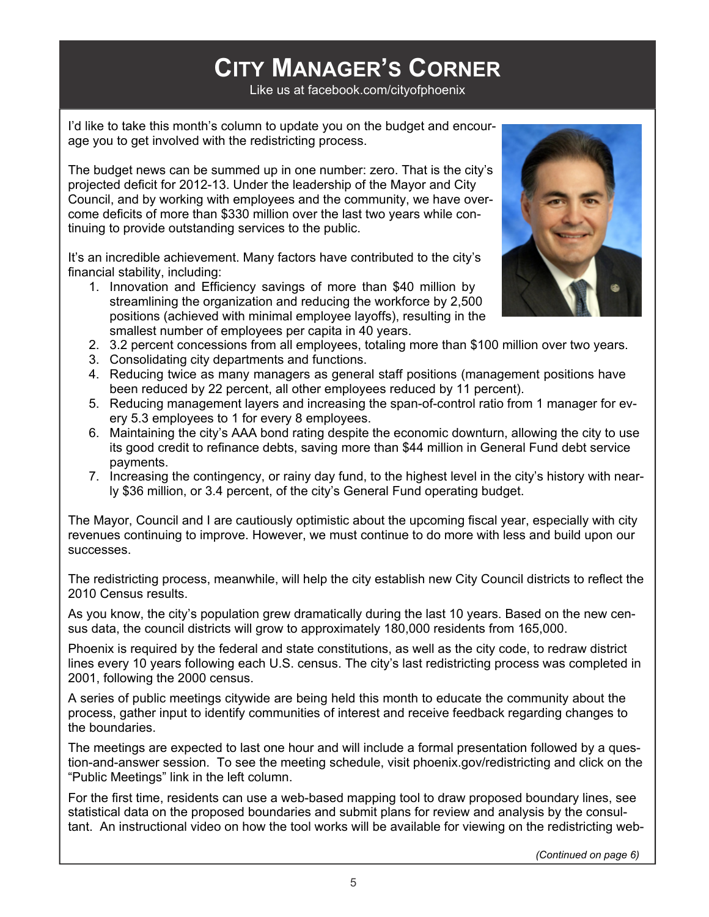## **CITY MANAGER'S CORNER**

Like us at facebook.com/cityofphoenix

I'd like to take this month's column to update you on the budget and encourage you to get involved with the redistricting process.

The budget news can be summed up in one number: zero. That is the city's projected deficit for 2012-13. Under the leadership of the Mayor and City Council, and by working with employees and the community, we have overcome deficits of more than \$330 million over the last two years while continuing to provide outstanding services to the public.

It's an incredible achievement. Many factors have contributed to the city's financial stability, including:

1. Innovation and Efficiency savings of more than \$40 million by streamlining the organization and reducing the workforce by 2,500 positions (achieved with minimal employee layoffs), resulting in the smallest number of employees per capita in 40 years.



- 2. 3.2 percent concessions from all employees, totaling more than \$100 million over two years.
- 3. Consolidating city departments and functions.
- 4. Reducing twice as many managers as general staff positions (management positions have been reduced by 22 percent, all other employees reduced by 11 percent).
- 5. Reducing management layers and increasing the span-of-control ratio from 1 manager for every 5.3 employees to 1 for every 8 employees.
- 6. Maintaining the city's AAA bond rating despite the economic downturn, allowing the city to use its good credit to refinance debts, saving more than \$44 million in General Fund debt service payments.
- 7. Increasing the contingency, or rainy day fund, to the highest level in the city's history with nearly \$36 million, or 3.4 percent, of the city's General Fund operating budget.

The Mayor, Council and I are cautiously optimistic about the upcoming fiscal year, especially with city revenues continuing to improve. However, we must continue to do more with less and build upon our successes.

The redistricting process, meanwhile, will help the city establish new City Council districts to reflect the 2010 Census results.

As you know, the city's population grew dramatically during the last 10 years. Based on the new census data, the council districts will grow to approximately 180,000 residents from 165,000.

Phoenix is required by the federal and state constitutions, as well as the city code, to redraw district lines every 10 years following each U.S. census. The city's last redistricting process was completed in 2001, following the 2000 census.

A series of public meetings citywide are being held this month to educate the community about the process, gather input to identify communities of interest and receive feedback regarding changes to the boundaries.

The meetings are expected to last one hour and will include a formal presentation followed by a question-and-answer session. To see the meeting schedule, visit phoenix.gov/redistricting and click on the "Public Meetings" link in the left column.

For the first time, residents can use a web-based mapping tool to draw proposed boundary lines, see statistical data on the proposed boundaries and submit plans for review and analysis by the consultant. An instructional video on how the tool works will be available for viewing on the redistricting web-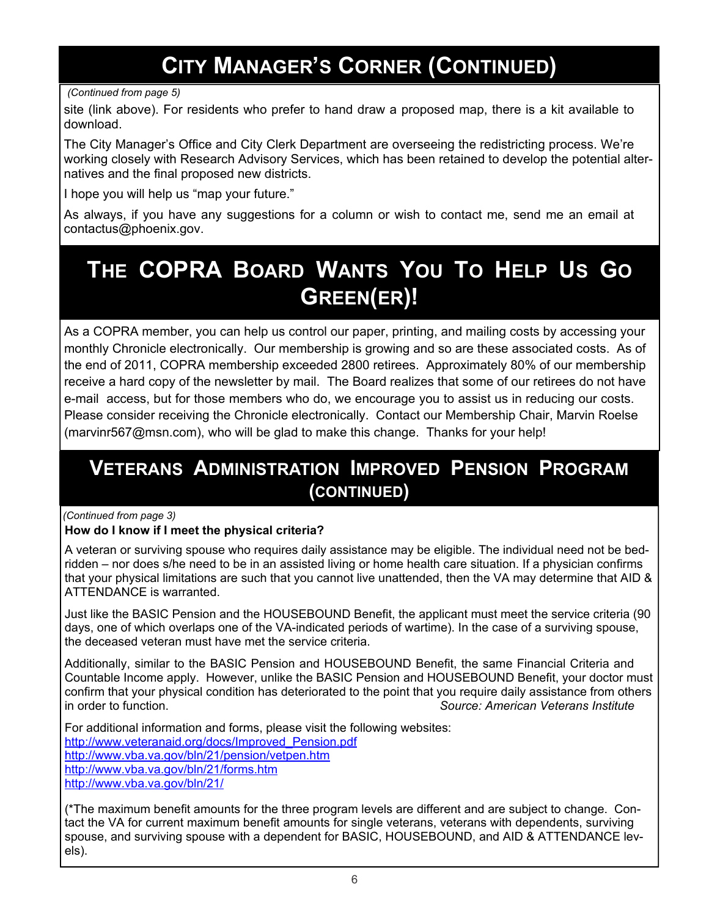### **CITY MANAGER'S CORNER (CONTINUED)**

#### *(Continued from page 5)*

site (link above). For residents who prefer to hand draw a proposed map, there is a kit available to download.

The City Manager's Office and City Clerk Department are overseeing the redistricting process. We're working closely with Research Advisory Services, which has been retained to develop the potential alternatives and the final proposed new districts.

I hope you will help us "map your future."

As always, if you have any suggestions for a column or wish to contact me, send me an email at contactus@phoenix.gov.

### **THE COPRA BOARD WANTS YOU TO HELP US GO GREEN(ER)!**

As a COPRA member, you can help us control our paper, printing, and mailing costs by accessing your monthly Chronicle electronically. Our membership is growing and so are these associated costs. As of the end of 2011, COPRA membership exceeded 2800 retirees. Approximately 80% of our membership receive a hard copy of the newsletter by mail. The Board realizes that some of our retirees do not have e-mail access, but for those members who do, we encourage you to assist us in reducing our costs. Please consider receiving the Chronicle electronically. Contact our Membership Chair, Marvin Roelse (marvinr567@msn.com), who will be glad to make this change. Thanks for your help!

#### **VETERANS ADMINISTRATION IMPROVED PENSION PROGRAM (CONTINUED)**

#### *(Continued from page 3)*

#### **How do I know if I meet the physical criteria?**

A veteran or surviving spouse who requires daily assistance may be eligible. The individual need not be bedridden – nor does s/he need to be in an assisted living or home health care situation. If a physician confirms that your physical limitations are such that you cannot live unattended, then the VA may determine that AID & ATTENDANCE is warranted.

Just like the BASIC Pension and the HOUSEBOUND Benefit, the applicant must meet the service criteria (90 days, one of which overlaps one of the VA-indicated periods of wartime). In the case of a surviving spouse, the deceased veteran must have met the service criteria.

Additionally, similar to the BASIC Pension and HOUSEBOUND Benefit, the same Financial Criteria and Countable Income apply. However, unlike the BASIC Pension and HOUSEBOUND Benefit, your doctor must confirm that your physical condition has deteriorated to the point that you require daily assistance from others in order to function. *Source: American Veterans Institute*

For additional information and forms, please visit the following websites: http://www.veteranaid.org/docs/Improved\_Pension.pdf http://www.vba.va.gov/bln/21/pension/vetpen.htm http://www.vba.va.gov/bln/21/forms.htm http://www.vba.va.gov/bln/21/

(\*The maximum benefit amounts for the three program levels are different and are subject to change. Contact the VA for current maximum benefit amounts for single veterans, veterans with dependents, surviving spouse, and surviving spouse with a dependent for BASIC, HOUSEBOUND, and AID & ATTENDANCE levels).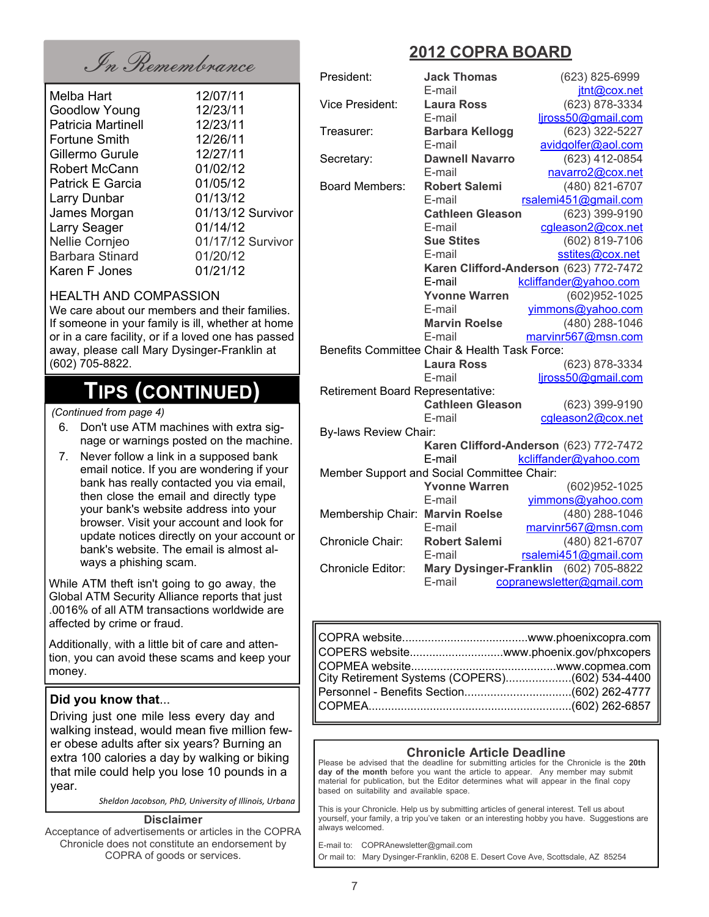## In Remembrance **2012 COPRA BOARD**

| Melba Hart                | 12/07/11          |
|---------------------------|-------------------|
| <b>Goodlow Young</b>      | 12/23/11          |
| <b>Patricia Martinell</b> | 12/23/11          |
| Fortune Smith             | 12/26/11          |
| Gillermo Gurule           | 12/27/11          |
| Robert McCann             | 01/02/12          |
| Patrick E Garcia          | 01/05/12          |
| Larry Dunbar              | 01/13/12          |
| James Morgan              | 01/13/12 Survivor |
| Larry Seager              | 01/14/12          |
| Nellie Cornjeo            | 01/17/12 Survivor |
| <b>Barbara Stinard</b>    | 01/20/12          |
| Karen F Jones             | 01/21/12          |
|                           |                   |

#### HEALTH AND COMPASSION

We care about our members and their families. If someone in your family is ill, whether at home or in a care facility, or if a loved one has passed away, please call Mary Dysinger-Franklin at (602) 705-8822.

### **TIPS (CONTINUED)**

 *(Continued from page 4)*

- 6. Don't use ATM machines with extra signage or warnings posted on the machine.
- 7. Never follow a link in a supposed bank email notice. If you are wondering if your bank has really contacted you via email, then close the email and directly type your bank's website address into your browser. Visit your account and look for update notices directly on your account or bank's website. The email is almost always a phishing scam.

While ATM theft isn't going to go away, the Global ATM Security Alliance reports that just .0016% of all ATM transactions worldwide are affected by crime or fraud.

Additionally, with a little bit of care and attention, you can avoid these scams and keep your money.

#### **Did you know that**...

Driving just one mile less every day and walking instead, would mean five million fewer obese adults after six years? Burning an extra 100 calories a day by walking or biking that mile could help you lose 10 pounds in a year.

*Sheldon Jacobson, PhD, University of Illinois, Urbana*

#### **Disclaimer**

Acceptance of advertisements or articles in the COPRA Chronicle does not constitute an endorsement by COPRA of goods or services.

| President:                              | <b>Jack Thomas</b>                                                 | (623) 825-6999                         |
|-----------------------------------------|--------------------------------------------------------------------|----------------------------------------|
|                                         | E-mail                                                             | jtnt@cox.net                           |
| <b>Vice President:</b>                  | <b>Laura Ross</b>                                                  | (623) 878-3334                         |
|                                         | E-mail                                                             | ljross50@gmail.com                     |
| Treasurer:                              | <b>Barbara Kellogg</b>                                             | (623) 322-5227                         |
|                                         | E-mail                                                             | avidgolfer@aol.com                     |
| Secretary:                              | <b>Dawnell Navarro</b>                                             | (623) 412-0854                         |
|                                         | E-mail                                                             | navarro2@cox.net                       |
| <b>Board Members:</b>                   | <b>Robert Salemi</b>                                               | (480) 821-6707                         |
|                                         | E-mail                                                             | rsalemi451@gmail.com                   |
|                                         | <b>Cathleen Gleason</b>                                            | (623) 399-9190                         |
|                                         | E-mail                                                             | cgleason2@cox.net                      |
|                                         | <b>Sue Stites</b>                                                  | (602) 819-7106                         |
|                                         | E-mail                                                             | sstites@cox.net                        |
|                                         |                                                                    | Karen Clifford-Anderson (623) 772-7472 |
|                                         | E-mail                                                             | kcliffander@yahoo.com                  |
|                                         | <b>Yvonne Warren</b>                                               | (602) 952-1025                         |
|                                         | E-mail                                                             | vimmons@yahoo.com                      |
|                                         | <b>Marvin Roelse</b>                                               | (480) 288-1046                         |
|                                         | E-mail                                                             | marvinr567@msn.com                     |
|                                         | Benefits Committee Chair & Health Task Force:                      |                                        |
|                                         | <b>Laura Ross</b>                                                  | (623) 878-3334                         |
|                                         | E-mail                                                             | liross50@gmail.com                     |
| <b>Retirement Board Representative:</b> |                                                                    |                                        |
|                                         | <b>Cathleen Gleason</b>                                            | (623) 399-9190                         |
|                                         | E-mail                                                             | cgleason2@cox.net                      |
| <b>By-laws Review Chair:</b>            |                                                                    |                                        |
|                                         |                                                                    | Karen Clifford-Anderson (623) 772-7472 |
|                                         | E-mail                                                             | kcliffander@yahoo.com                  |
|                                         | Member Support and Social Committee Chair:<br><b>Yvonne Warren</b> | (602)952-1025                          |
|                                         | E-mail                                                             | yimmons@yahoo.com                      |
|                                         |                                                                    | (480) 288-1046                         |
| Membership Chair: Marvin Roelse         | E-mail                                                             | marvinr567@msn.com                     |
| Chronicle Chair:                        | <b>Robert Salemi</b>                                               | (480) 821-6707                         |
|                                         | E-mail                                                             | rsalemi451@gmail.com                   |
| <b>Chronicle Editor:</b>                |                                                                    | Mary Dysinger-Franklin (602) 705-8822  |
|                                         | E-mail                                                             | copranewsletter@gmail.com              |
|                                         |                                                                    |                                        |

| COPERS websitewww.phoenix.gov/phxcopers |  |
|-----------------------------------------|--|
|                                         |  |
|                                         |  |
|                                         |  |

#### **Chronicle Article Deadline**

Please be advised that the deadline for submitting articles for the Chronicle is the **20th day of the month** before you want the article to appear. Any member may submit material for publication, but the Editor determines what will appear in the final copy based on suitability and available space.

This is your Chronicle. Help us by submitting articles of general interest. Tell us about yourself, your family, a trip you've taken or an interesting hobby you have. Suggestions are always welcomed.

E-mail to: COPRAnewsletter@gmail.com Or mail to: Mary Dysinger-Franklin, 6208 E. Desert Cove Ave, Scottsdale, AZ 85254